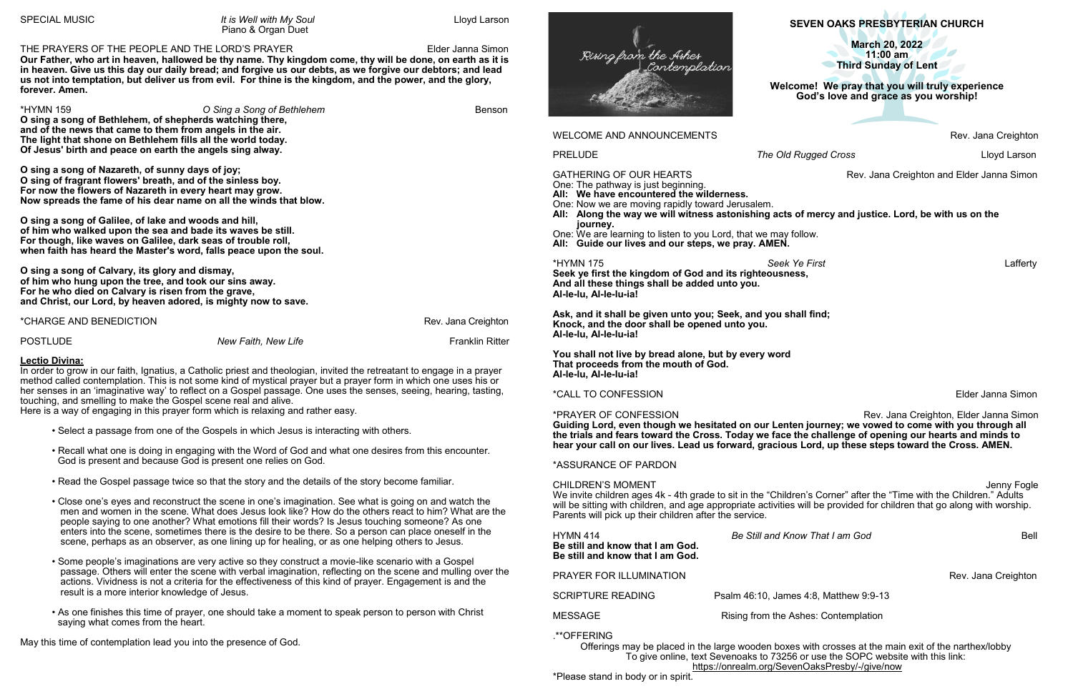# **SEVEN OAKS PRESBYTERIAN CHURCH**

**March 20, 2022 11:00 am Third Sunday of Lent**

**Welcome!****We pray that you will truly experience God's love and grace as you worship!**

GATHERING OF OUR HEARTS **Rev. Jana Creighton and Elder Janna Simon** 

MESSAGE Rising from the Ashes: Contemplation

PRELUDE *The Old Rugged Cross* Lloyd Larson

- One: The pathway is just beginning. **All: We have encountered the wilderness.**
- One: Now we are moving rapidly toward Jerusalem.
- **All: Along the way we will witness astonishing acts of mercy and justice. Lord, be with us on the journey.**
- One: We are learning to listen to you Lord, that we may follow.
- **All: Guide our lives and our steps, we pray. AMEN.**

### \*HYMN 175 *Seek Ye First* Lafferty

**Seek ye first the kingdom of God and its righteousness, And all these things shall be added unto you. Al-le-lu, Al-le-lu-ia!**

**Ask, and it shall be given unto you; Seek, and you shall find; Knock, and the door shall be opened unto you. Al-le-lu, Al-le-lu-ia!**

CHILDREN'S MOMENT **Superintensity of the CHILDREN'S MOMENT**  $\blacksquare$ We invite children ages 4k - 4th grade to sit in the "Children's Corner" after the "Time with the Children." Adults will be sitting with children, and age appropriate activities will be provided for children that go along with worship. Parents will pick up their children after the service.

**You shall not live by bread alone, but by every word That proceeds from the mouth of God. Al-le-lu, Al-le-lu-ia!**

# \*CALL TO CONFESSION Elder Janna Simon

\*PRAYER OF CONFESSION Rev. Jana Creighton, Elder Janna Simon **Guiding Lord, even though we hesitated on our Lenten journey; we vowed to come with you through all the trials and fears toward the Cross. Today we face the challenge of opening our hearts and minds to hear your call on our lives. Lead us forward, gracious Lord, up these steps toward the Cross. AMEN.**

\*ASSURANCE OF PARDON

#### HYMN 414 *Be Still and Know That I am God* Bell **Be still and know that I am God. Be still and know that I am God.**

| *CHARGE AND BENEDICTION |                     | Rev. Jana Creighton    |
|-------------------------|---------------------|------------------------|
| POSTLUDE                | New Faith, New Life | <b>Franklin Ritter</b> |

PRAYER FOR ILLUMINATION Rev. Jana Creighton

SCRIPTURE READING Psalm 46:10, James 4:8, Matthew 9:9-13

# .\*\*OFFERING

Offerings may be placed in the large wooden boxes with crosses at the main exit of the narthex/lobby To give online, text Sevenoaks to 73256 or use the SOPC website with this link: [https://onrealm.org/SevenOaksPresby/](https://onrealm.org/SevenOaksPresby/-/give/now)-/give/now

\*Please stand in body or in spirit.

#### THE PRAYERS OF THE PEOPLE AND THE LORD'S PRAYER THE THE STATE RESOLUTION OF THE PROPERTY SIMON

**Our Father, who art in heaven, hallowed be thy name. Thy kingdom come, thy will be done, on earth as it is in heaven. Give us this day our daily bread; and forgive us our debts, as we forgive our debtors; and lead us not into temptation, but deliver us from evil. For thine is the kingdom, and the power, and the glory, forever. Amen.** 

\*HYMN 159 *O Sing a Song of Bethlehem* Benson **O sing a song of Bethlehem, of shepherds watching there, and of the news that came to them from angels in the air. The light that shone on Bethlehem fills all the world today. Of Jesus' birth and peace on earth the angels sing alway.**

**O sing a song of Nazareth, of sunny days of joy; O sing of fragrant flowers' breath, and of the sinless boy. For now the flowers of Nazareth in every heart may grow. Now spreads the fame of his dear name on all the winds that blow.**

**O sing a song of Galilee, of lake and woods and hill, of him who walked upon the sea and bade its waves be still. For though, like waves on Galilee, dark seas of trouble roll, when faith has heard the Master's word, falls peace upon the soul.**

**O sing a song of Calvary, its glory and dismay, of him who hung upon the tree, and took our sins away. For he who died on Calvary is risen from the grave, and Christ, our Lord, by heaven adored, is mighty now to save.**

# **Lectio Divina:**

In order to grow in our faith, Ignatius, a Catholic priest and theologian, invited the retreatant to engage in a prayer method called contemplation. This is not some kind of mystical prayer but a prayer form in which one uses his or her senses in an 'imaginative way' to reflect on a Gospel passage. One uses the senses, seeing, hearing, tasting, touching, and smelling to make the Gospel scene real and alive.

Here is a way of engaging in this prayer form which is relaxing and rather easy.

- Select a passage from one of the Gospels in which Jesus is interacting with others.
- Recall what one is doing in engaging with the Word of God and what one desires from this encounter. God is present and because God is present one relies on God.
- Read the Gospel passage twice so that the story and the details of the story become familiar.
- Close one's eyes and reconstruct the scene in one's imagination. See what is going on and watch the men and women in the scene. What does Jesus look like? How do the others react to him? What are the people saying to one another? What emotions fill their words? Is Jesus touching someone? As one enters into the scene, sometimes there is the desire to be there. So a person can place oneself in the scene, perhaps as an observer, as one lining up for healing, or as one helping others to Jesus.
- Some people's imaginations are very active so they construct a movie-like scenario with a Gospel passage. Others will enter the scene with verbal imagination, reflecting on the scene and mulling over the actions. Vividness is not a criteria for the effectiveness of this kind of prayer. Engagement is and the result is a more interior knowledge of Jesus.
- As one finishes this time of prayer, one should take a moment to speak person to person with Christ saying what comes from the heart.

May this time of contemplation lead you into the presence of God.

WELCOME AND ANNOUNCEMENTS **Rev. Jana Creighton**